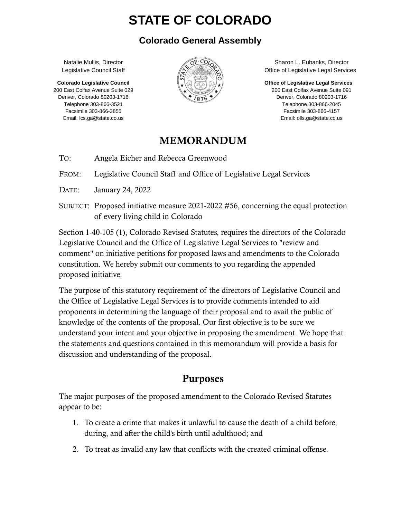# **STATE OF COLORADO**

#### **Colorado General Assembly**

Natalie Mullis, Director Legislative Council Staff

 **Colorado Legislative Council**  200 East Colfax Avenue Suite 029 Denver, Colorado 80203-1716 Telephone 303-866-3521 Facsimile 303-866-3855 Email: lcs.ga@state.co.us



 Sharon L. Eubanks, Director Office of Legislative Legal Services

**Office of Legislative Legal Services** 

 200 East Colfax Avenue Suite 091 Denver, Colorado 80203-1716 Telephone 303-866-2045 Facsimile 303-866-4157 Email: olls.ga@state.co.us

#### MEMORANDUM

TO: Angela Eicher and Rebecca Greenwood

FROM: Legislative Council Staff and Office of Legislative Legal Services

DATE: January 24, 2022

SUBJECT: Proposed initiative measure 2021-2022 #56, concerning the equal protection of every living child in Colorado

Section 1-40-105 (1), Colorado Revised Statutes, requires the directors of the Colorado Legislative Council and the Office of Legislative Legal Services to "review and comment" on initiative petitions for proposed laws and amendments to the Colorado constitution. We hereby submit our comments to you regarding the appended proposed initiative.

The purpose of this statutory requirement of the directors of Legislative Council and the Office of Legislative Legal Services is to provide comments intended to aid proponents in determining the language of their proposal and to avail the public of knowledge of the contents of the proposal. Our first objective is to be sure we understand your intent and your objective in proposing the amendment. We hope that the statements and questions contained in this memorandum will provide a basis for discussion and understanding of the proposal.

## Purposes

The major purposes of the proposed amendment to the Colorado Revised Statutes appear to be:

- 1. To create a crime that makes it unlawful to cause the death of a child before, during, and after the child's birth until adulthood; and
- 2. To treat as invalid any law that conflicts with the created criminal offense.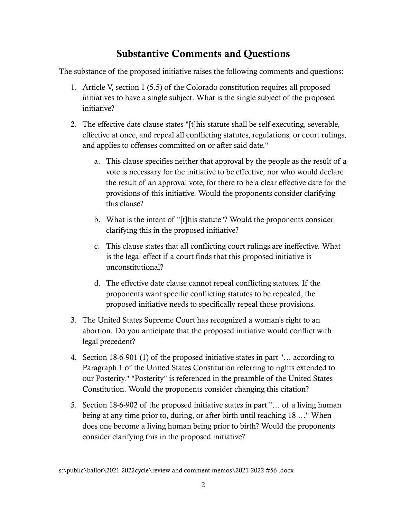### Substantive Comments and Questions

The substance of the proposed initiative raises the following comments and questions:

- 1. Article V, section 1 (5.5) of the Colorado constitution requires all proposed initiatives to have a single subject. What is the single subject of the proposed initiative?
- 2. The effective date clause states "[t]his statute shall be self-executing, severable, effective at once, and repeal all conflicting statutes, regulations, or court rulings, and applies to offenses committed on or after said date."
	- a. This clause specifies neither that approval by the people as the result of a vote is necessary for the initiative to be effective, nor who would declare the result of an approval vote, for there to be a clear effective date for the provisions of this initiative. Would the proponents consider clarifying this clause?
	- b. What is the intent of "[t]his statute"? Would the proponents consider clarifying this in the proposed initiative?
	- c. This clause states that all conflicting court rulings are ineffective. What is the legal effect if a court finds that this proposed initiative is unconstitutional?
	- d. The effective date clause cannot repeal conflicting statutes. If the proponents want specific conflicting statutes to be repealed, the proposed initiative needs to specifically repeal those provisions.
- 3. The United States Supreme Court has recognized a woman's right to an abortion. Do you anticipate that the proposed initiative would conflict with legal precedent?
- 4. Section 18-6-901 (1) of the proposed initiative states in part "… according to Paragraph 1 of the United States Constitution referring to rights extended to our Posterity." "Posterity" is referenced in the preamble of the United States Constitution. Would the proponents consider changing this citation?
- 5. Section 18-6-902 of the proposed initiative states in part "… of a living human being at any time prior to, during, or after birth until reaching 18 …" When does one become a living human being prior to birth? Would the proponents consider clarifying this in the proposed initiative?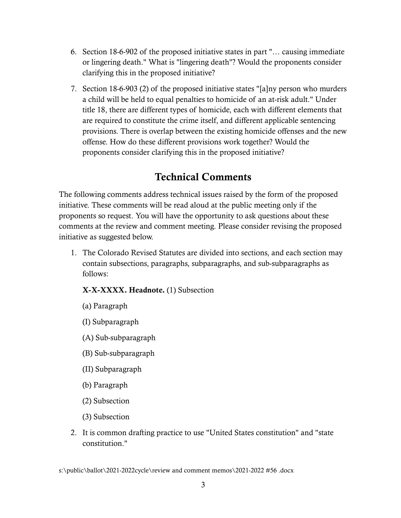- 6. Section 18-6-902 of the proposed initiative states in part "… causing immediate or lingering death." What is "lingering death"? Would the proponents consider clarifying this in the proposed initiative?
- 7. Section 18-6-903 (2) of the proposed initiative states "[a]ny person who murders a child will be held to equal penalties to homicide of an at-risk adult." Under title 18, there are different types of homicide, each with different elements that are required to constitute the crime itself, and different applicable sentencing provisions. There is overlap between the existing homicide offenses and the new offense. How do these different provisions work together? Would the proponents consider clarifying this in the proposed initiative?

### Technical Comments

The following comments address technical issues raised by the form of the proposed initiative. These comments will be read aloud at the public meeting only if the proponents so request. You will have the opportunity to ask questions about these comments at the review and comment meeting. Please consider revising the proposed initiative as suggested below.

1. The Colorado Revised Statutes are divided into sections, and each section may contain subsections, paragraphs, subparagraphs, and sub-subparagraphs as follows:

#### X-X-XXXX. Headnote. (1) Subsection

- (a) Paragraph
- (I) Subparagraph
- (A) Sub-subparagraph
- (B) Sub-subparagraph
- (II) Subparagraph
- (b) Paragraph
- (2) Subsection
- (3) Subsection
- 2. It is common drafting practice to use "United States constitution" and "state constitution."

s:\public\ballot\2021-2022cycle\review and comment memos\2021-2022 #56 .docx